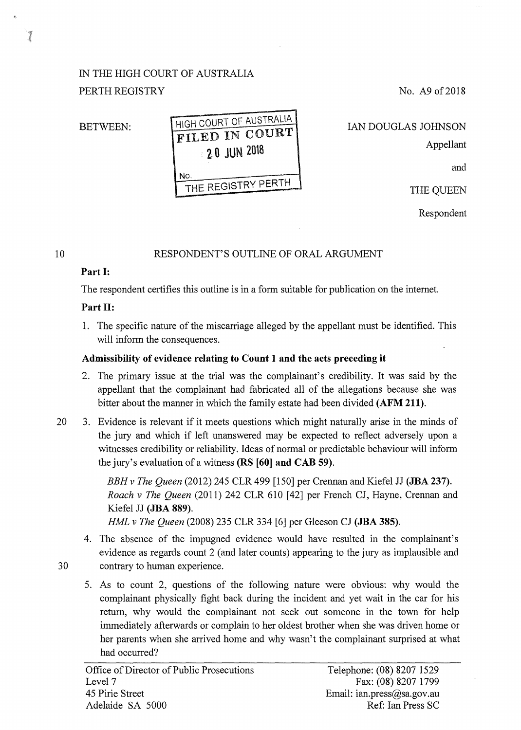# IN THE HIGH COURT OF AUSTRALIA PERTH REGISTRY

No. A9 of 2018

### BETWEEN:

| HIGH COURT OF AUSTRALIA   |
|---------------------------|
| FILED IN COURT            |
| 20 JUN 2018               |
| No.<br>THE REGISTRY PERTH |
|                           |

IAN DOUGLAS JOHNSON Appellant

and

THE QUEEN

Respondent

#### 10

1

#### RESPONDENT'S OUTLINE OF ORAL ARGUMENT

### **Part 1:**

The respondent certifies this outline is in a form suitable for publication on the intemet.

# **Part 11:**

1. The specific nature of the miscarriage alleged by the appellant must be identified. This will inform the consequences.

# **Admissibility of evidence relating to Count 1 and the acts preceding it**

- 2. The primary issue at the trial was the complainant's credibility. It was said by the appellant that the complainant had fabricated all of the allegations because she was bitter about the manner in which the family estate had been divided **(AFM 211).**
- 20 3. Evidence is relevant if it meets questions which might naturally arise in the minds of the jury and which if left unanswered may be expected to reflect adversely upon a witnesses credibility or reliability. Ideas of normal or predictable behaviour will inform the jury's evaluation of a witness **(RS [60] and CAB 59).**

*BBH v The Queen* (2012) 245 CLR 499 [150] per Crennan and Kiefel JJ **(JBA 237).**  *Roach v The Queen* (2011) 242 CLR 610 [42] per French CJ, Hayne, Crennan and Kiefel JJ **(JBA 889).** 

*HML v The Queen* (2008) 235 CLR 334 [6] per Gleeson CJ **(JBA 385).** 

- 4. The absence of the impugned evidence would have resulted in the complainant's evidence as regards count 2 (and later counts) appearing to the jury as implausible and 30 contrary to human experience.
- 
- 5. As to count 2, questions of the following nature were obvious: why would the complainant physically fight back during the incident and yet wait in the car for his return, why would the complainant not seek out someone in the town for help immediately afterwards or complain to her oldest brother when she was driven home or her parents when she arrived home and why wasn't the complainant surprised at what had occurred?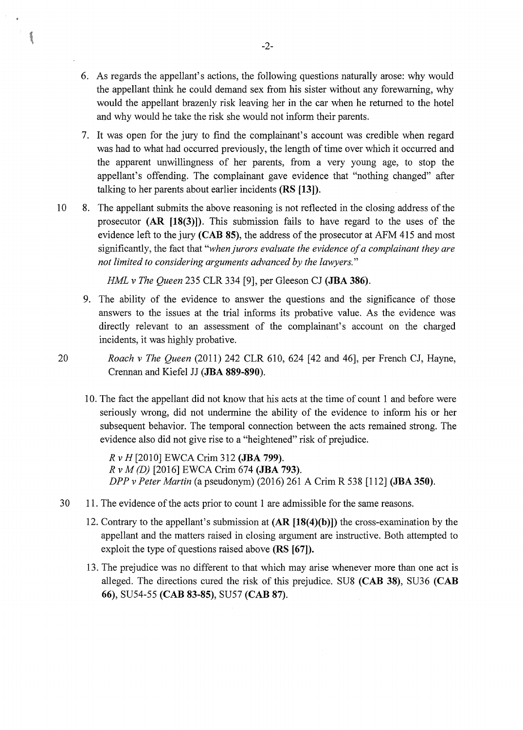- 6. As regards the appellant's actions, the following questions naturally arose: why would the appellant think he could demand sex from his sister without any forewarning, why would the appellant brazenly risk leaving her in the car when he returned to the hotel and why would he take the risk she would not inform their parents.
- 7. It was open for the jury to find the complainant's account was credible when regard was had to what had occurred previously, the length of time over which it occurred and the apparent unwillingness of her parents, from a very young age, to stop the appellant's offending. The complainant gave evidence that "nothing changed" after talking to her parents about earlier incidents **(RS [13]).**
- 10 8. The appellant submits the above reasoning is not reflected in the closing address of the prosecutor **(AR [18(3)]).** This submission fails to have regard to the uses of the evidence left to the jury **(CAB 85),** the address of the prosecutor at AFM 415 and most significantly, the fact that *"when jurors evaluate the evidence of a complainant they are not limited to considering arguments advanced by the lawyers."*

*HML v The Queen* 235 CLR 334 [9], per Gleeson CJ **(JBA 386).** 

- 9. The ability of the evidence to answer the questions and the significance of those answers to the issues at the trial informs its probative value. As the evidence was directly relevant to an assessment of the complainant's account on the charged incidents, it was highly probative.
- 20 *Roach v The Queen* (2011) 242 CLR 610, 624 [42 and 46], per French CJ, Hayne, Crennan and Kiefel JJ **(JBA 889-890).** 
	- 10. The fact the appellant did not know that his acts at the time of count 1 and before were seriously wrong, did not undermine the ability of the evidence to inform his or her subsequent behavior. The temporal connection between the acts remained strong. The evidence also did not give rise to a "heightened" risk of prejudice.

*R v H* [20 1 0] EWCA Crim 312 ( **JBA 799).**  *R v M (D)* [2016] EWCA Crim 674 **(JBA 793).**  *DPP v Peter Martin* (a pseudonym) (2016) 261 A Crim R 538 [112] **(JBA 350).** 

- 30 11. The evidence of the acts prior to count 1 are admissible for the same reasons.
	- 12. Contrary to the appellant's submission at **(AR [18(4)(b)])** the cross-examination by the appellant and the matters raised in closing argument are instructive. Both attempted to exploit the type of questions raised above **(RS [67]).**
	- 13. The prejudice was no different to that which may arise whenever more than one act is alleged. The directions cured the risk of this prejudice. SU8 **(CAB 38),** SU36 **(CAB 66),** SU54-55 **(CAB 83-85),** SU57 **(CAB** 87).

 $\mathcal{S}$  of  $\mathcal{S}$